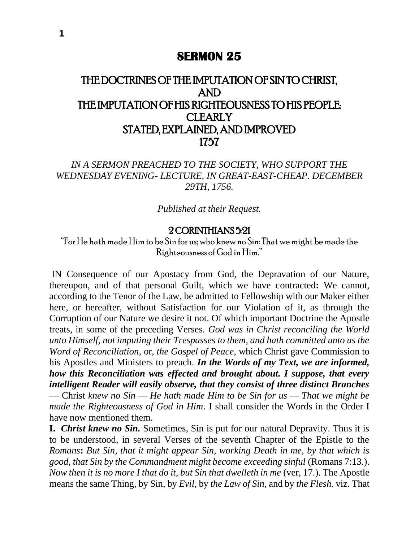## **SERMON 25**

## THE DOCTRINES OF THE IMPUTATION OF SIN TO CHRIST, AND THE IMPUTATION OF HIS RIGHTEOUSNESS TO HIS PEOPLE: **CLEARLY** STATED, EXPLAINED, AND IMPROVED 1757

*IN A SERMON PREACHED TO THE SOCIETY, WHO SUPPORT THE WEDNESDAY EVENING- LECTURE, IN GREAT-EAST-CHEAP. DECEMBER 29TH, 1756.*

*Published at their Request.*

## 2 CORINTHIANS 5:21

"For He hath made Him to be Sin for us; who knew no Sin: That we might be made the Righteousness of God in Him."

IN Consequence of our Apostacy from God, the Depravation of our Nature, thereupon, and of that personal Guilt, which we have contracted**:** We cannot, according to the Tenor of the Law, be admitted to Fellowship with our Maker either here, or hereafter, without Satisfaction for our Violation of it, as through the Corruption of our Nature we desire it not. Of which important Doctrine the Apostle treats, in some of the preceding Verses. *God was in Christ reconciling the World unto Himself, not imputing their Trespasses to them, and hath committed unto us the Word of Reconciliation,* or, *the Gospel of Peace,* which Christ gave Commission to his Apostles and Ministers to preach. *In the Words of my Text, we are informed, how this Reconciliation was effected and brought about. I suppose, that every intelligent Reader will easily observe, that they consist of three distinct Branches*  — Christ *knew no Sin — He hath made Him to be Sin for us — That we might be made the Righteousness of God in Him*. I shall consider the Words in the Order I have now mentioned them.

**I.** *Christ knew no Sin.* Sometimes, Sin is put for our natural Depravity. Thus it is to be understood, in several Verses of the seventh Chapter of the Epistle to the *Romans***:** *But Sin, that it might appear Sin, working Death in me, by that which is good, that Sin by the Commandment might become exceeding sinful* (Romans 7:13.). *Now then it is no more I that do it, but Sin that dwelleth in me (ver, 17.). The Apostle* means the same Thing, by Sin, by *Evil,* by *the Law of Sin,* and by *the Flesh.* viz. That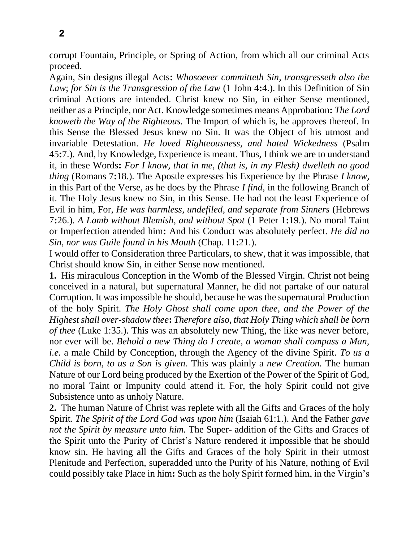corrupt Fountain, Principle, or Spring of Action, from which all our criminal Acts proceed.

Again, Sin designs illegal Acts**:** *Whosoever committeth Sin, transgresseth also the Law*; *for Sin is the Transgression of the Law* (1 John 4**:**4.). In this Definition of Sin criminal Actions are intended. Christ knew no Sin, in either Sense mentioned, neither as a Principle, nor Act. Knowledge sometimes means Approbation**:** *The Lord knoweth the Way of the Righteous.* The Import of which is, he approves thereof. In this Sense the Blessed Jesus knew no Sin. It was the Object of his utmost and invariable Detestation. *He loved Righteousness, and hated Wickedness* (Psalm 45**:**7.). And, by Knowledge, Experience is meant. Thus, I think we are to understand it, in these Words**:** *For I know, that in me, (that is, in my Flesh) dwelleth no good thing* (Romans 7**:**18.). The Apostle expresses his Experience by the Phrase *I know,*  in this Part of the Verse, as he does by the Phrase *I find,* in the following Branch of it. The Holy Jesus knew no Sin, in this Sense. He had not the least Experience of Evil in him, For, *He was harmless, undefiled, and separate from Sinners* (Hebrews 7**:**26.)*. A Lamb without Blemish, and without Spot* (1 Peter 1**:**19.). No moral Taint or Imperfection attended him**:** And his Conduct was absolutely perfect. *He did no Sin, nor was Guile found in his Mouth* (Chap. 11**:**21.).

I would offer to Consideration three Particulars, to shew, that it was impossible, that Christ should know Sin, in either Sense now mentioned.

**1.** His miraculous Conception in the Womb of the Blessed Virgin. Christ not being conceived in a natural, but supernatural Manner, he did not partake of our natural Corruption. It was impossible he should, because he was the supernatural Production of the holy Spirit. *The Holy Ghost shall come upon thee, and the Power of the Highest shall over-shadow thee***:** *Therefore also, that Holy Thing which shall be born of thee* (Luke 1:35.). This was an absolutely new Thing, the like was never before, nor ever will be. *Behold a new Thing do I create, a woman shall compass a Man, i.e.* a male Child by Conception, through the Agency of the divine Spirit. *To us a Child is born, to us a Son is given.* This was plainly a *new Creation.* The human Nature of our Lord being produced by the Exertion of the Power of the Spirit of God, no moral Taint or Impunity could attend it. For, the holy Spirit could not give Subsistence unto as unholy Nature.

**2.** The human Nature of Christ was replete with all the Gifts and Graces of the holy Spirit. *The Spirit of the Lord God was upon him* (Isaiah 61:1.). And the Father *gave not the Spirit by measure unto him.* The Super- addition of the Gifts and Graces of the Spirit unto the Purity of Christ's Nature rendered it impossible that he should know sin. He having all the Gifts and Graces of the holy Spirit in their utmost Plenitude and Perfection, superadded unto the Purity of his Nature, nothing of Evil could possibly take Place in him**:** Such as the holy Spirit formed him, in the Virgin's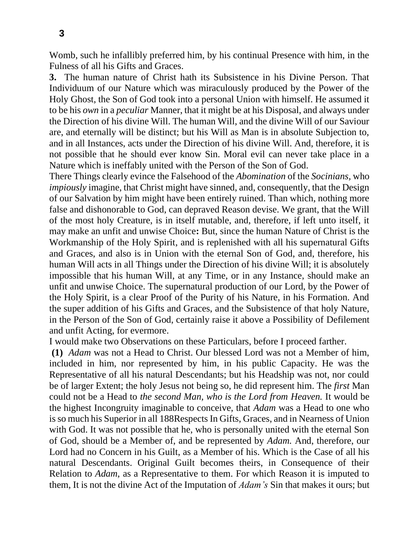Womb, such he infallibly preferred him, by his continual Presence with him, in the Fulness of all his Gifts and Graces.

**3.** The human nature of Christ hath its Subsistence in his Divine Person. That Individuum of our Nature which was miraculously produced by the Power of the Holy Ghost, the Son of God took into a personal Union with himself. He assumed it to be his *own* in a *peculiar* Manner, that it might be at his Disposal, and always under the Direction of his divine Will. The human Will, and the divine Will of our Saviour are, and eternally will be distinct; but his Will as Man is in absolute Subjection to, and in all Instances, acts under the Direction of his divine Will. And, therefore, it is not possible that he should ever know Sin. Moral evil can never take place in a Nature which is ineffably united with the Person of the Son of God.

There Things clearly evince the Falsehood of the *Abomination* of the *Socinians,* who *impiously* imagine, that Christ might have sinned, and, consequently, that the Design of our Salvation by him might have been entirely ruined. Than which, nothing more false and dishonorable to God, can depraved Reason devise. We grant, that the Will of the most holy Creature, is in itself mutable, and, therefore, if left unto itself, it may make an unfit and unwise Choice**:** But, since the human Nature of Christ is the Workmanship of the Holy Spirit, and is replenished with all his supernatural Gifts and Graces, and also is in Union with the eternal Son of God, and, therefore, his human Will acts in all Things under the Direction of his divine Will; it is absolutely impossible that his human Will, at any Time, or in any Instance, should make an unfit and unwise Choice. The supernatural production of our Lord, by the Power of the Holy Spirit, is a clear Proof of the Purity of his Nature, in his Formation. And the super addition of his Gifts and Graces, and the Subsistence of that holy Nature, in the Person of the Son of God, certainly raise it above a Possibility of Defilement and unfit Acting, for evermore.

I would make two Observations on these Particulars, before I proceed farther.

**(1)** *Adam* was not a Head to Christ. Our blessed Lord was not a Member of him, included in him, nor represented by him, in his public Capacity. He was the Representative of all his natural Descendants; but his Headship was not, nor could be of larger Extent; the holy Jesus not being so, he did represent him. The *first* Man could not be a Head to *the second Man, who is the Lord from Heaven.* It would be the highest Incongruity imaginable to conceive, that *Adam* was a Head to one who is so much his Superior in all 188Respects In Gifts, Graces, and in Nearness of Union with God. It was not possible that he, who is personally united with the eternal Son of God, should be a Member of, and be represented by *Adam.* And, therefore, our Lord had no Concern in his Guilt, as a Member of his. Which is the Case of all his natural Descendants. Original Guilt becomes theirs, in Consequence of their Relation to *Adam,* as a Representative to them. For which Reason it is imputed to them, It is not the divine Act of the Imputation of *Adam's* Sin that makes it ours; but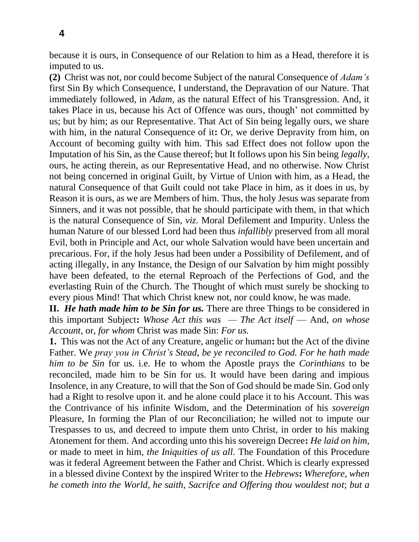because it is ours, in Consequence of our Relation to him as a Head, therefore it is imputed to us.

**(2)** Christ was not, nor could become Subject of the natural Consequence of *Adam's*  first Sin By which Consequence, I understand, the Depravation of our Nature. That immediately followed, in *Adam,* as the natural Effect of his Transgression. And, it takes Place in us, because his Act of Offence was ours, though' not committed by us; but by him; as our Representative. That Act of Sin being legally ours, we share with him, in the natural Consequence of it**:** Or, we derive Depravity from him, on Account of becoming guilty with him. This sad Effect does not follow upon the Imputation of his Sin, as the Cause thereof; but It follows upon his Sin being *legally,*  ours, he acting therein, as our Representative Head, and no otherwise. Now Christ not being concerned in original Guilt, by Virtue of Union with him, as a Head, the natural Consequence of that Guilt could not take Place in him, as it does in us, by Reason it is ours, as we are Members of him. Thus, the holy Jesus was separate from Sinners, and it was not possible, that he should participate with them, in that which is the natural Consequence of Sin, *viz.* Moral Defilement and Impurity. Unless the human Nature of our blessed Lord had been thus *infallibly* preserved from all moral Evil, both in Principle and Act, our whole Salvation would have been uncertain and precarious. For, if the holy Jesus had been under a Possibility of Defilement, and of acting illegally, in any Instance, the Design of our Salvation by him might possibly have been defeated, to the eternal Reproach of the Perfections of God, and the everlasting Ruin of the Church. The Thought of which must surely be shocking to every pious Mind! That which Christ knew not, nor could know, he was made.

**II.** *He hath made him to be Sin for us.* There are three Things to be considered in this important Subject**:** *Whose Act this was — The Act itself* — And, *on whose Account,* or, *for whom* Christ was made Sin: *For us.*

**1.** This was not the Act of any Creature, angelic or human**:** but the Act of the divine Father. We *pray you in Christ's Stead, be ye reconciled to God. For he hath made him to be Sin* for us. i.e. He to whom the Apostle prays the *Corinthians* to be reconciled, made him to be Sin for us. It would have been daring and impious Insolence, in any Creature, to will that the Son of God should be made Sin. God only had a Right to resolve upon it. and he alone could place it to his Account. This was the Contrivance of his infinite Wisdom, and the Determination of his *sovereign*  Pleasure, In forming the Plan of our Reconciliation; he willed not to impute our Trespasses to us, and decreed to impute them unto Christ, in order to his making Atonement for them. And according unto this his sovereign Decree**:** *He laid on him,*  or made to meet in him, *the Iniquities of us all.* The Foundation of this Procedure was it federal Agreement between the Father and Christ. Which is clearly expressed in a blessed divine Context by the inspired Writer to the *Hebrews***:** *Wherefore, when he cometh into the World, he saith, Sacrifce and Offering thou wouldest not*; *but a*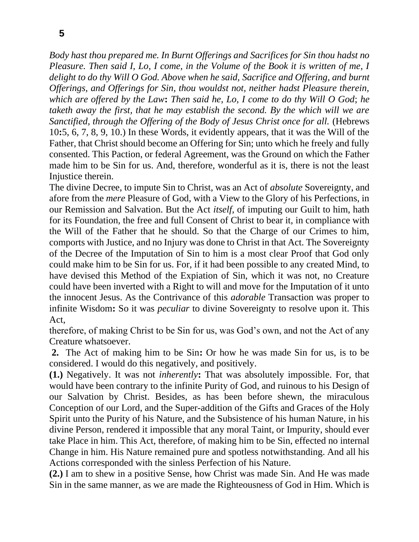*Body hast thou prepared me. In Burnt Offerings and Sacrifices for Sin thou hadst no Pleasure. Then said I, Lo, I come, in the Volume of the Book it is written of me, I delight to do thy Will O God. Above when he said, Sacrifice and Offering, and burnt Offerings, and Offerings for Sin, thou wouldst not, neither hadst Pleasure therein, which are offered by the Law***:** *Then said he, Lo, I come to do thy Will O God*; *he taketh away the first, that he may establish the second. By the which will we are Sanctified, through the Offering of the Body of Jesus Christ once for all.* (Hebrews 10**:**5, 6, 7, 8, 9, 10.) In these Words, it evidently appears, that it was the Will of the Father, that Christ should become an Offering for Sin; unto which he freely and fully consented. This Paction, or federal Agreement, was the Ground on which the Father made him to be Sin for us. And, therefore, wonderful as it is, there is not the least Injustice therein.

The divine Decree, to impute Sin to Christ, was an Act of *absolute* Sovereignty, and afore from the *mere* Pleasure of God, with a View to the Glory of his Perfections, in our Remission and Salvation. But the Act *itself,* of imputing our Guilt to him, hath for its Foundation, the free and full Consent of Christ to bear it, in compliance with the Will of the Father that he should. So that the Charge of our Crimes to him, comports with Justice, and no Injury was done to Christ in that Act. The Sovereignty of the Decree of the Imputation of Sin to him is a most clear Proof that God only could make him to be Sin for us. For, if it had been possible to any created Mind, to have devised this Method of the Expiation of Sin, which it was not, no Creature could have been inverted with a Right to will and move for the Imputation of it unto the innocent Jesus. As the Contrivance of this *adorable* Transaction was proper to infinite Wisdom**:** So it was *peculiar* to divine Sovereignty to resolve upon it. This Act,

therefore, of making Christ to be Sin for us, was God's own, and not the Act of any Creature whatsoever.

**2.** The Act of making him to be Sin**:** Or how he was made Sin for us, is to be considered. I would do this negatively, and positively.

**(1.)** Negatively. It was not *inherently***:** That was absolutely impossible. For, that would have been contrary to the infinite Purity of God, and ruinous to his Design of our Salvation by Christ. Besides, as has been before shewn, the miraculous Conception of our Lord, and the Super-addition of the Gifts and Graces of the Holy Spirit unto the Purity of his Nature, and the Subsistence of his human Nature, in his divine Person, rendered it impossible that any moral Taint, or Impurity, should ever take Place in him. This Act, therefore, of making him to be Sin, effected no internal Change in him. His Nature remained pure and spotless notwithstanding. And all his Actions corresponded with the sinless Perfection of his Nature.

**(2.)** I am to shew in a positive Sense, how Christ was made Sin. And He was made Sin in the same manner, as we are made the Righteousness of God in Him. Which is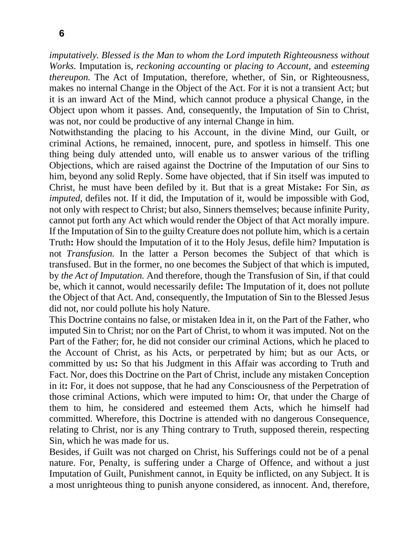**6**

*imputatively. Blessed is the Man to whom the Lord imputeth Righteousness without Works.* Imputation is, *reckoning accounting* or *placing to Account,* and *esteeming thereupon*. The Act of Imputation, therefore, whether, of Sin, or Righteousness, makes no internal Change in the Object of the Act. For it is not a transient Act; but it is an inward Act of the Mind, which cannot produce a physical Change, in the Object upon whom it passes. And, consequently, the Imputation of Sin to Christ, was not, nor could be productive of any internal Change in him.

Notwithstanding the placing to his Account, in the divine Mind, our Guilt, or criminal Actions, he remained, innocent, pure, and spotless in himself. This one thing being duly attended unto, will enable us to answer various of the trifling Objections, which are raised against the Doctrine of the Imputation of our Sins to him, beyond any solid Reply. Some have objected, that if Sin itself was imputed to Christ, he must have been defiled by it. But that is a great Mistake**:** For Sin, *as imputed*, defiles not. If it did, the Imputation of it, would be impossible with God, not only with respect to Christ; but also, Sinners themselves; because infinite Purity, cannot put forth any Act which would render the Object of that Act morally impure. If the Imputation of Sin to the guilty Creature does not pollute him, which is a certain Truth**:** How should the Imputation of it to the Holy Jesus, defile him? Imputation is not *Transfusion.* In the latter a Person becomes the Subject of that which is transfused. But in the former, no one becomes the Subject of that which is imputed, by *the Act of Imputation.* And therefore, though the Transfusion of Sin, if that could be, which it cannot, would necessarily defile**:** The Imputation of it, does not pollute the Object of that Act. And, consequently, the Imputation of Sin to the Blessed Jesus did not, nor could pollute his holy Nature.

This Doctrine contains no false, or mistaken Idea in it, on the Part of the Father, who imputed Sin to Christ; nor on the Part of Christ, to whom it was imputed. Not on the Part of the Father; for, he did not consider our criminal Actions, which he placed to the Account of Christ, as his Acts, or perpetrated by him; but as our Acts, or committed by us**:** So that his Judgment in this Affair was according to Truth and Fact. Nor, does this Doctrine on the Part of Christ, include any mistaken Conception in it**:** For, it does not suppose, that he had any Consciousness of the Perpetration of those criminal Actions, which were imputed to him**:** Or, that under the Charge of them to him, he considered and esteemed them Acts, which he himself had committed. Wherefore, this Doctrine is attended with no dangerous Consequence, relating to Christ, nor is any Thing contrary to Truth, supposed therein, respecting Sin, which he was made for us.

Besides, if Guilt was not charged on Christ, his Sufferings could not be of a penal nature. For, Penalty, is suffering under a Charge of Offence, and without a just Imputation of Guilt, Punishment cannot, in Equity be inflicted, on any Subject. It is a most unrighteous thing to punish anyone considered, as innocent. And, therefore,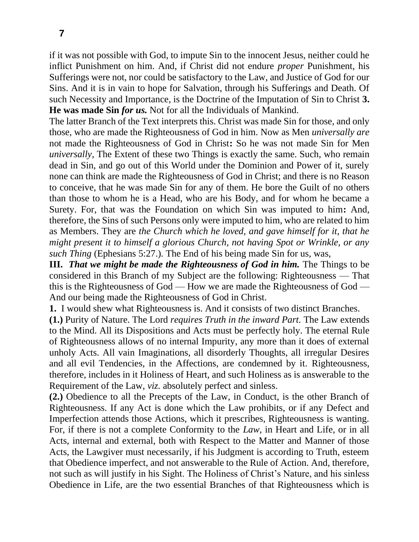if it was not possible with God, to impute Sin to the innocent Jesus, neither could he inflict Punishment on him. And, if Christ did not endure *proper* Punishment, his Sufferings were not, nor could be satisfactory to the Law, and Justice of God for our Sins. And it is in vain to hope for Salvation, through his Sufferings and Death. Of such Necessity and Importance, is the Doctrine of the Imputation of Sin to Christ **3. He was made Sin** *for us.* Not for all the Individuals of Mankind.

The latter Branch of the Text interprets this. Christ was made Sin for those, and only those, who are made the Righteousness of God in him. Now as Men *universally are*  not made the Righteousness of God in Christ**:** So he was not made Sin for Men *universally,* The Extent of these two Things is exactly the same. Such, who remain dead in Sin, and go out of this World under the Dominion and Power of it, surely none can think are made the Righteousness of God in Christ; and there is no Reason to conceive, that he was made Sin for any of them. He bore the Guilt of no others than those to whom he is a Head, who are his Body, and for whom he became a Surety. For, that was the Foundation on which Sin was imputed to him**:** And, therefore, the Sins of such Persons only were imputed to him, who are related to him as Members. They are *the Church which he loved, and gave himself for it, that he might present it to himself a glorious Church, not having Spot or Wrinkle, or any such Thing* (Ephesians 5:27.)*.* The End of his being made Sin for us, was,

**III.** *That we might be made the Righteousness of God in him.* The Things to be considered in this Branch of my Subject are the following: Righteousness — That this is the Righteousness of God — How we are made the Righteousness of God — And our being made the Righteousness of God in Christ.

**1.** I would shew what Righteousness is. And it consists of two distinct Branches.

**(1.)** Purity of Nature. The Lord *requires Truth in the inward Part.* The Law extends to the Mind. All its Dispositions and Acts must be perfectly holy. The eternal Rule of Righteousness allows of no internal Impurity, any more than it does of external unholy Acts. All vain Imaginations, all disorderly Thoughts, all irregular Desires and all evil Tendencies, in the Affections, are condemned by it. Righteousness, therefore, includes in it Holiness of Heart, and such Holiness as is answerable to the Requirement of the Law, *viz.* absolutely perfect and sinless.

**(2.)** Obedience to all the Precepts of the Law, in Conduct, is the other Branch of Righteousness. If any Act is done which the Law prohibits, or if any Defect and Imperfection attends those Actions, which it prescribes, Righteousness is wanting. For, if there is not a complete Conformity to the *Law,* in Heart and Life, or in all Acts, internal and external, both with Respect to the Matter and Manner of those Acts, the Lawgiver must necessarily, if his Judgment is according to Truth, esteem that Obedience imperfect, and not answerable to the Rule of Action. And, therefore, not such as will justify in his Sight. The Holiness of Christ's Nature, and his sinless Obedience in Life, are the two essential Branches of that Righteousness which is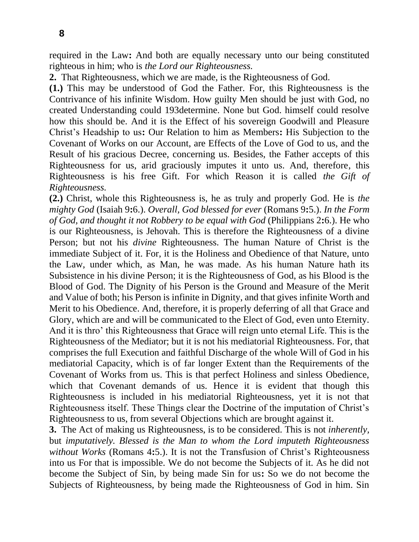required in the Law**:** And both are equally necessary unto our being constituted righteous in him; who is *the Lord our Righteousness.*

**2.** That Righteousness, which we are made, is the Righteousness of God.

**(1.)** This may be understood of God the Father. For, this Righteousness is the Contrivance of his infinite Wisdom. How guilty Men should be just with God, no created Understanding could 193determine. None but God. himself could resolve how this should be. And it is the Effect of his sovereign Goodwill and Pleasure Christ's Headship to us**:** Our Relation to him as Members**:** His Subjection to the Covenant of Works on our Account, are Effects of the Love of God to us, and the Result of his gracious Decree, concerning us. Besides, the Father accepts of this Righteousness for us, arid graciously imputes it unto us. And, therefore, this Righteousness is his free Gift. For which Reason it is called *the Gift of Righteousness.* 

**(2.)** Christ, whole this Righteousness is, he as truly and properly God. He is *the mighty God* (Isaiah 9**:**6.). *Overall, God blessed for ever* (Romans 9**:**5.). *In the Form of God, and thought it not Robbery to be equal with God* (Philippians 2**:**6.). He who is our Righteousness, is Jehovah. This is therefore the Righteousness of a divine Person; but not his *divine* Righteousness. The human Nature of Christ is the immediate Subject of it. For, it is the Holiness and Obedience of that Nature, unto the Law, under which, as Man, he was made. As his human Nature hath its Subsistence in his divine Person; it is the Righteousness of God, as his Blood is the Blood of God. The Dignity of his Person is the Ground and Measure of the Merit and Value of both; his Person is infinite in Dignity, and that gives infinite Worth and Merit to his Obedience. And, therefore, it is properly deferring of all that Grace and Glory, which are and will be communicated to the Elect of God, even unto Eternity. And it is thro' this Righteousness that Grace will reign unto eternal Life. This is the Righteousness of the Mediator; but it is not his mediatorial Righteousness. For, that comprises the full Execution and faithful Discharge of the whole Will of God in his mediatorial Capacity, which is of far longer Extent than the Requirements of the Covenant of Works from us. This is that perfect Holiness and sinless Obedience, which that Covenant demands of us. Hence it is evident that though this Righteousness is included in his mediatorial Righteousness, yet it is not that Righteousness itself. These Things clear the Doctrine of the imputation of Christ's Righteousness to us, from several Objections which are brought against it.

**3.** The Act of making us Righteousness, is to be considered. This is not *inherently,*  but *imputatively. Blessed is the Man to whom the Lord imputeth Righteousness without Works* (Romans 4**:**5.). It is not the Transfusion of Christ's Righteousness into us For that is impossible. We do not become the Subjects of it. As he did not become the Subject of Sin, by being made Sin for us**:** So we do not become the Subjects of Righteousness, by being made the Righteousness of God in him. Sin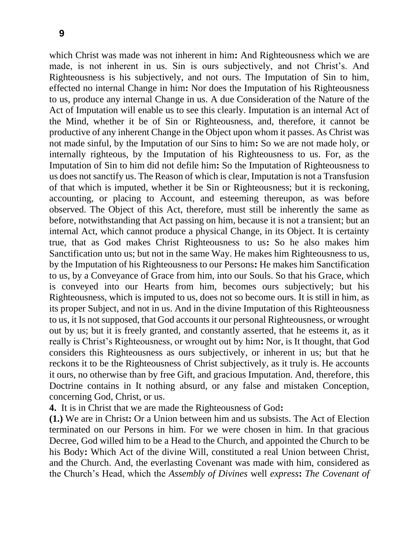which Christ was made was not inherent in him**:** And Righteousness which we are made, is not inherent in us. Sin is ours subjectively, and not Christ's. And Righteousness is his subjectively, and not ours. The Imputation of Sin to him, effected no internal Change in him**:** Nor does the Imputation of his Righteousness to us, produce any internal Change in us. A due Consideration of the Nature of the Act of Imputation will enable us to see this clearly. Imputation is an internal Act of the Mind, whether it be of Sin or Righteousness, and, therefore, it cannot be productive of any inherent Change in the Object upon whom it passes. As Christ was not made sinful, by the Imputation of our Sins to him**:** So we are not made holy, or internally righteous, by the Imputation of his Righteousness to us. For, as the Imputation of Sin to him did not defile him**:** So the Imputation of Righteousness to us does not sanctify us. The Reason of which is clear, Imputation is not a Transfusion of that which is imputed, whether it be Sin or Righteousness; but it is reckoning, accounting, or placing to Account, and esteeming thereupon, as was before observed. The Object of this Act, therefore, must still be inherently the same as before, notwithstanding that Act passing on him, because it is not a transient; but an internal Act, which cannot produce a physical Change, in its Object. It is certainty true, that as God makes Christ Righteousness to us**:** So he also makes him Sanctification unto us; but not in the same Way. He makes him Righteousness to us, by the Imputation of his Righteousness to our Persons**:** He makes him Sanctification to us, by a Conveyance of Grace from him, into our Souls. So that his Grace, which is conveyed into our Hearts from him, becomes ours subjectively; but his Righteousness, which is imputed to us, does not so become ours. It is still in him, as its proper Subject, and not in us. And in the divine Imputation of this Righteousness to us, it Is not supposed, that God accounts it our personal Righteousness, or wrought out by us; but it is freely granted, and constantly asserted, that he esteems it, as it really is Christ's Righteousness, or wrought out by him**:** Nor, is It thought, that God considers this Righteousness as ours subjectively, or inherent in us; but that he reckons it to be the Righteousness of Christ subjectively, as it truly is. He accounts it ours, no otherwise than by free Gift, and gracious Imputation. And, therefore, this Doctrine contains in It nothing absurd, or any false and mistaken Conception, concerning God, Christ, or us.

**4.** It is in Christ that we are made the Righteousness of God**:** 

**(1.)** We are in Christ**:** Or a Union between him and us subsists. The Act of Election terminated on our Persons in him. For we were chosen in him. In that gracious Decree, God willed him to be a Head to the Church, and appointed the Church to be his Body**:** Which Act of the divine Will, constituted a real Union between Christ, and the Church. And, the everlasting Covenant was made with him, considered as the Church's Head, which the *Assembly of Divines* well *express***:** *The Covenant of*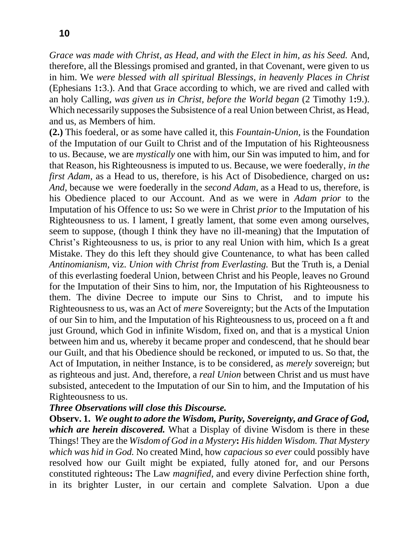*Grace was made with Christ, as Head, and with the Elect in him, as his Seed.* And, therefore, all the Blessings promised and granted, in that Covenant, were given to us in him. We *were blessed with all spiritual Blessings, in heavenly Places in Christ*  (Ephesians 1**:**3.). And that Grace according to which, we are rived and called with an holy Calling, *was given us in Christ, before the World began* (2 Timothy 1**:**9.). Which necessarily supposes the Subsistence of a real Union between Christ, as Head, and us, as Members of him.

**(2.)** This foederal, or as some have called it, this *Fountain-Union,* is the Foundation of the Imputation of our Guilt to Christ and of the Imputation of his Righteousness to us. Because, we are *mystically* one with him, our Sin was imputed to him, and for that Reason, his Righteousness is imputed to us. Because, we were foederally, *in the first Adam,* as a Head to us, therefore, is his Act of Disobedience, charged on us**:**  *And,* because we were foederally in the *second Adam,* as a Head to us, therefore, is his Obedience placed to our Account. And as we were in *Adam prior* to the Imputation of his Offence to us**:** So we were in Christ *prior* to the Imputation of his Righteousness to us. I lament, I greatly lament, that some even among ourselves, seem to suppose, (though I think they have no ill-meaning) that the Imputation of Christ's Righteousness to us, is prior to any real Union with him, which Is a great Mistake. They do this left they should give Countenance, to what has been called *Antinomianism,* viz. *Union with Christ from Everlasting.* But the Truth is, a Denial of this everlasting foederal Union, between Christ and his People, leaves no Ground for the Imputation of their Sins to him, nor, the Imputation of his Righteousness to them. The divine Decree to impute our Sins to Christ, and to impute his Righteousness to us, was an Act of *mere* Sovereignty; but the Acts of the Imputation of our Sin to him, and the Imputation of his Righteousness to us, proceed on a ft and just Ground, which God in infinite Wisdom, fixed on, and that is a mystical Union between him and us, whereby it became proper and condescend, that he should bear our Guilt, and that his Obedience should be reckoned, or imputed to us. So that, the Act of Imputation, in neither Instance, is to be considered, as *merely s*overeign; but as righteous and just. And, therefore, a *real Union* between Christ and us must have subsisted, antecedent to the Imputation of our Sin to him, and the Imputation of his Righteousness to us.

## *Three Observations will close this Discourse.*

**Observ. 1.** *We ought to adore the Wisdom, Purity, Sovereignty, and Grace of God, which are herein discovered.* What a Display of divine Wisdom is there in these Things! They are the *Wisdom of God in a Mystery***:** *His hidden Wisdom. That Mystery which was hid in God.* No created Mind, how *capacious so ever* could possibly have resolved how our Guilt might be expiated, fully atoned for, and our Persons constituted righteous**:** The Law *magnified,* and every divine Perfection shine forth, in its brighter Luster, in our certain and complete Salvation. Upon a due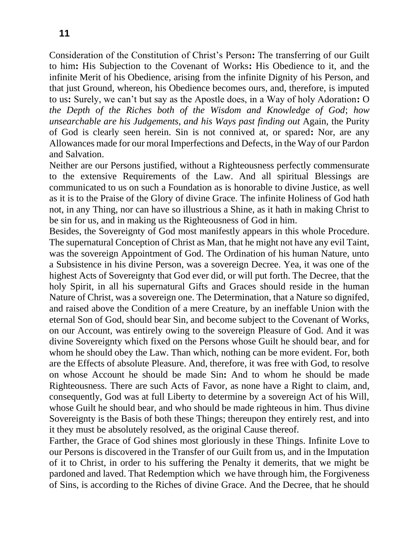Consideration of the Constitution of Christ's Person**:** The transferring of our Guilt to him**:** His Subjection to the Covenant of Works**:** His Obedience to it, and the infinite Merit of his Obedience, arising from the infinite Dignity of his Person, and that just Ground, whereon, his Obedience becomes ours, and, therefore, is imputed to us**:** Surely, we can't but say as the Apostle does, in a Way of holy Adoration**:** O *the Depth of the Riches both of the Wisdom and Knowledge of God*; *how unsearchable are his Judgements, and his Ways past finding out* Again, the Purity of God is clearly seen herein. Sin is not connived at, or spared**:** Nor, are any Allowances made for our moral Imperfections and Defects, in the Way of our Pardon and Salvation.

Neither are our Persons justified, without a Righteousness perfectly commensurate to the extensive Requirements of the Law. And all spiritual Blessings are communicated to us on such a Foundation as is honorable to divine Justice, as well as it is to the Praise of the Glory of divine Grace. The infinite Holiness of God hath not, in any Thing, nor can have so illustrious a Shine, as it hath in making Christ to be sin for us, and in making us the Righteousness of God in him.

Besides, the Sovereignty of God most manifestly appears in this whole Procedure. The supernatural Conception of Christ as Man, that he might not have any evil Taint, was the sovereign Appointment of God. The Ordination of his human Nature, unto a Subsistence in his divine Person, was a sovereign Decree. Yea, it was one of the highest Acts of Sovereignty that God ever did, or will put forth. The Decree, that the holy Spirit, in all his supernatural Gifts and Graces should reside in the human Nature of Christ, was a sovereign one. The Determination, that a Nature so dignifed, and raised above the Condition of a mere Creature, by an ineffable Union with the eternal Son of God, should bear Sin, and become subject to the Covenant of Works, on our Account, was entirely owing to the sovereign Pleasure of God. And it was divine Sovereignty which fixed on the Persons whose Guilt he should bear, and for whom he should obey the Law. Than which, nothing can be more evident. For, both are the Effects of absolute Pleasure. And, therefore, it was free with God, to resolve on whose Account he should be made Sin**:** And to whom he should be made Righteousness. There are such Acts of Favor, as none have a Right to claim, and, consequently, God was at full Liberty to determine by a sovereign Act of his Will, whose Guilt he should bear, and who should be made righteous in him. Thus divine Sovereignty is the Basis of both these Things; thereupon they entirely rest, and into it they must be absolutely resolved, as the original Cause thereof.

Farther, the Grace of God shines most gloriously in these Things. Infinite Love to our Persons is discovered in the Transfer of our Guilt from us, and in the Imputation of it to Christ, in order to his suffering the Penalty it demerits, that we might be pardoned and laved. That Redemption which we have through him, the Forgiveness of Sins, is according to the Riches of divine Grace. And the Decree, that he should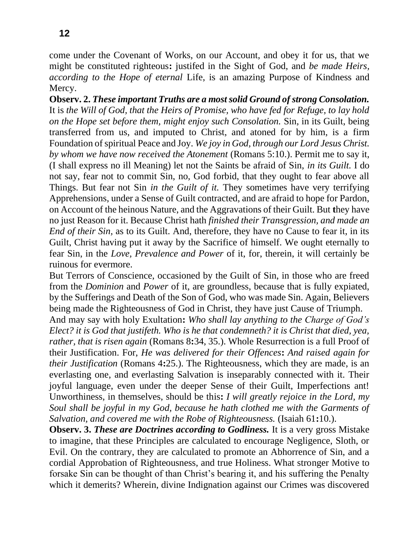come under the Covenant of Works, on our Account, and obey it for us, that we might be constituted righteous**:** justifed in the Sight of God, and *be made Heirs, according to the Hope of eternal* Life, is an amazing Purpose of Kindness and Mercy.

**Observ. 2.** *These important Truths are a most solid Ground of strong Consolation.*  It is *the Will of God, that the Heirs of Promise, who have fed for Refuge, to lay hold on the Hope set before them, might enjoy such Consolation.* Sin, in its Guilt, being transferred from us, and imputed to Christ, and atoned for by him, is a firm Foundation of spiritual Peace and Joy. *We joy in God, through our Lord Jesus Christ. by whom we have now received the Atonement* (Romans 5:10.). Permit me to say it, (I shall express no ill Meaning) let not the Saints be afraid of Sin, *in its Guilt.* I do not say, fear not to commit Sin, no, God forbid, that they ought to fear above all Things. But fear not Sin *in the Guilt of it.* They sometimes have very terrifying Apprehensions, under a Sense of Guilt contracted, and are afraid to hope for Pardon, on Account of the heinous Nature, and the Aggravations of their Guilt. But **t**hey have no just Reason for it. Because Christ hath *finished their Transgression, and made an End of their Sin,* as to its Guilt. And, therefore, they have no Cause to fear it, in its Guilt, Christ having put it away by the Sacrifice of himself. We ought eternally to fear Sin, in the *Love, Prevalence and Power* of it, for, therein, it will certainly be ruinous for evermore.

But Terrors of Conscience, occasioned by the Guilt of Sin, in those who are freed from the *Dominion* and *Power* of it, are groundless, because that is fully expiated, by the Sufferings and Death of the Son of God, who was made Sin. Again, Believers being made the Righteousness of God in Christ, they have just Cause of Triumph.

And may say with holy Exultation**:** *Who shall lay anything to the Charge of God's Elect? it is God that justifeth. Who is he that condemneth? it is Christ that died, yea, rather, that is risen again* (Romans 8**:**34, 35.). Whole Resurrection is a full Proof of their Justification. For, *He was delivered for their Offences***:** *And raised again for their Justification* (Romans 4**:**25.). The Righteousness, which they are made, is an everlasting one, and everlasting Salvation is inseparably connected with it. Their joyful language, even under the deeper Sense of their Guilt, Imperfections ant! Unworthiness, in themselves, should be this**:** *I will greatly rejoice in the Lord, my Soul shall be joyful in my God, because he hath clothed me with the Garments of Salvation, and covered me with the Robe of Righteousness.* (Isaiah 61**:**10.).

**Observ. 3.** *These are Doctrines according to Godliness.* It is a very gross Mistake to imagine, that these Principles are calculated to encourage Negligence, Sloth, or Evil. On the contrary, they are calculated to promote an Abhorrence of Sin, and a cordial Approbation of Righteousness, and true Holiness. What stronger Motive to forsake Sin can be thought of than Christ's bearing it, and his suffering the Penalty which it demerits? Wherein, divine Indignation against our Crimes was discovered